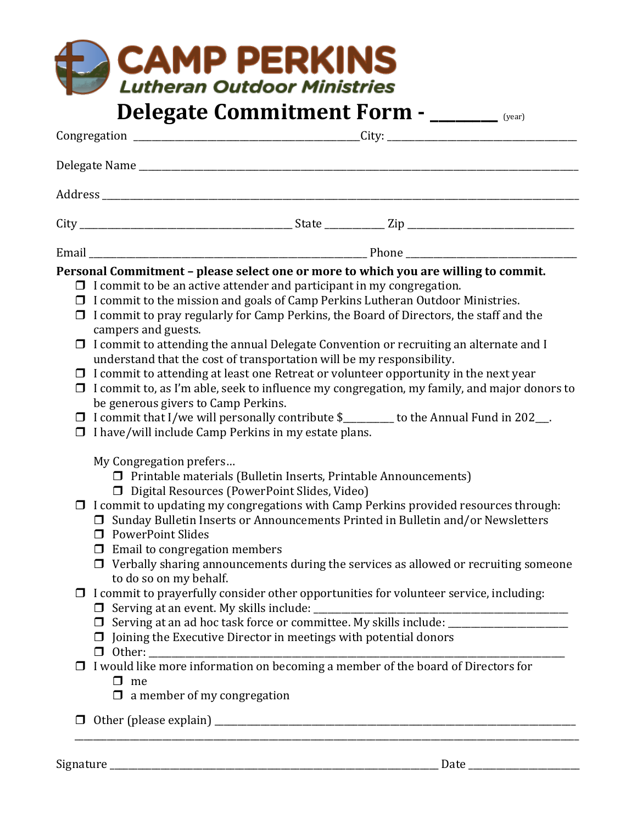|        | <b>CAMP PERKINS</b><br><b>Lutheran Outdoor Ministries</b>                                                                                                                                                                                                                                                                                                                                                                                                                                                                                                                                                                                                                                                                                                                                        |
|--------|--------------------------------------------------------------------------------------------------------------------------------------------------------------------------------------------------------------------------------------------------------------------------------------------------------------------------------------------------------------------------------------------------------------------------------------------------------------------------------------------------------------------------------------------------------------------------------------------------------------------------------------------------------------------------------------------------------------------------------------------------------------------------------------------------|
|        | Delegate Commitment Form - _____ (year)                                                                                                                                                                                                                                                                                                                                                                                                                                                                                                                                                                                                                                                                                                                                                          |
|        |                                                                                                                                                                                                                                                                                                                                                                                                                                                                                                                                                                                                                                                                                                                                                                                                  |
|        |                                                                                                                                                                                                                                                                                                                                                                                                                                                                                                                                                                                                                                                                                                                                                                                                  |
|        |                                                                                                                                                                                                                                                                                                                                                                                                                                                                                                                                                                                                                                                                                                                                                                                                  |
|        |                                                                                                                                                                                                                                                                                                                                                                                                                                                                                                                                                                                                                                                                                                                                                                                                  |
|        |                                                                                                                                                                                                                                                                                                                                                                                                                                                                                                                                                                                                                                                                                                                                                                                                  |
|        | $\Box$ I commit to the mission and goals of Camp Perkins Lutheran Outdoor Ministries.<br>$\Box$ I commit to pray regularly for Camp Perkins, the Board of Directors, the staff and the<br>campers and guests.<br>$\Box$ I commit to attending the annual Delegate Convention or recruiting an alternate and I<br>understand that the cost of transportation will be my responsibility.<br>$\Box$ I commit to attending at least one Retreat or volunteer opportunity in the next year<br>$\Box$ I commit to, as I'm able, seek to influence my congregation, my family, and major donors to<br>be generous givers to Camp Perkins.<br>$\Box$ I commit that I/we will personally contribute \$_______ to the Annual Fund in 202__.<br>$\Box$ I have/will include Camp Perkins in my estate plans. |
|        | My Congregation prefers<br>$\Box$ Printable materials (Bulletin Inserts, Printable Announcements)<br>□ Digital Resources (PowerPoint Slides, Video)<br>$\Box$ I commit to updating my congregations with Camp Perkins provided resources through:<br>□ Sunday Bulletin Inserts or Announcements Printed in Bulletin and/or Newsletters<br><b>D</b> PowerPoint Slides<br>$\Box$ Email to congregation members<br>$\Box$ Verbally sharing announcements during the services as allowed or recruiting someone                                                                                                                                                                                                                                                                                       |
|        | to do so on my behalf.<br>$\Box$ I commit to prayerfully consider other opportunities for volunteer service, including:<br>$\Box$ Joining the Executive Director in meetings with potential donors                                                                                                                                                                                                                                                                                                                                                                                                                                                                                                                                                                                               |
|        | $\Box$ I would like more information on becoming a member of the board of Directors for<br>$\Box$ me<br>$\Box$ a member of my congregation                                                                                                                                                                                                                                                                                                                                                                                                                                                                                                                                                                                                                                                       |
| $\Box$ |                                                                                                                                                                                                                                                                                                                                                                                                                                                                                                                                                                                                                                                                                                                                                                                                  |

Signature \_\_\_\_\_\_\_\_\_\_\_\_\_\_\_\_\_\_\_\_\_\_\_\_\_\_\_\_\_\_\_\_\_\_\_\_\_\_\_\_\_\_\_\_\_\_\_\_\_\_\_\_\_\_\_\_\_\_\_\_\_\_\_\_\_\_\_\_\_\_\_ Date \_\_\_\_\_\_\_\_\_\_\_\_\_\_\_\_\_\_\_\_\_\_\_\_